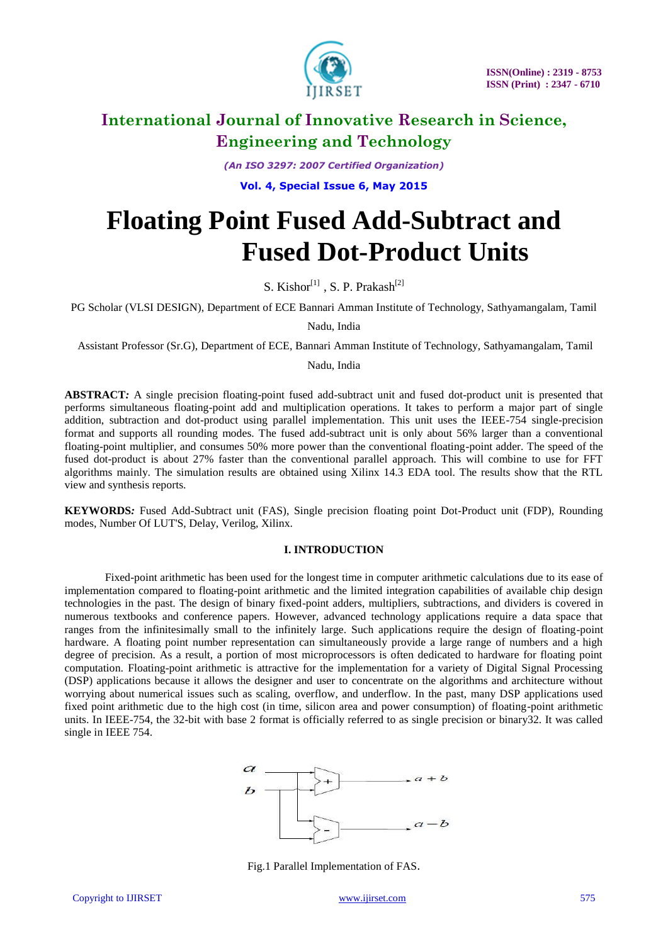

*(An ISO 3297: 2007 Certified Organization)*

**Vol. 4, Special Issue 6, May 2015**

# **Floating Point Fused Add-Subtract and Fused Dot-Product Units**

S. Kishor $^{[1]}$ , S. P. Prakash $^{[2]}$ 

PG Scholar (VLSI DESIGN), Department of ECE Bannari Amman Institute of Technology, Sathyamangalam, Tamil

Nadu, India

Assistant Professor (Sr.G), Department of ECE, Bannari Amman Institute of Technology, Sathyamangalam, Tamil

Nadu, India

**ABSTRACT***:* A single precision floating-point fused add-subtract unit and fused dot-product unit is presented that performs simultaneous floating-point add and multiplication operations. It takes to perform a major part of single addition, subtraction and dot-product using parallel implementation. This unit uses the IEEE-754 single-precision format and supports all rounding modes. The fused add-subtract unit is only about 56% larger than a conventional floating-point multiplier, and consumes 50% more power than the conventional floating-point adder. The speed of the fused dot-product is about 27% faster than the conventional parallel approach. This will combine to use for FFT algorithms mainly. The simulation results are obtained using Xilinx 14.3 EDA tool. The results show that the RTL view and synthesis reports.

**KEYWORDS***:* Fused Add-Subtract unit (FAS), Single precision floating point Dot-Product unit (FDP), Rounding modes, Number Of LUT'S, Delay, Verilog, Xilinx.

#### **I. INTRODUCTION**

Fixed-point arithmetic has been used for the longest time in computer arithmetic calculations due to its ease of implementation compared to floating-point arithmetic and the limited integration capabilities of available chip design technologies in the past. The design of binary fixed-point adders, multipliers, subtractions, and dividers is covered in numerous textbooks and conference papers. However, advanced technology applications require a data space that ranges from the infinitesimally small to the infinitely large. Such applications require the design of floating-point hardware. A floating point number representation can simultaneously provide a large range of numbers and a high degree of precision. As a result, a portion of most microprocessors is often dedicated to hardware for floating point computation. Floating-point arithmetic is attractive for the implementation for a variety of Digital Signal Processing (DSP) applications because it allows the designer and user to concentrate on the algorithms and architecture without worrying about numerical issues such as scaling, overflow, and underflow. In the past, many DSP applications used fixed point arithmetic due to the high cost (in time, silicon area and power consumption) of floating-point arithmetic units. In IEEE-754, the 32-bit with base 2 format is officially referred to as single precision or binary32. It was called single in IEEE 754.



Fig.1 Parallel Implementation of FAS.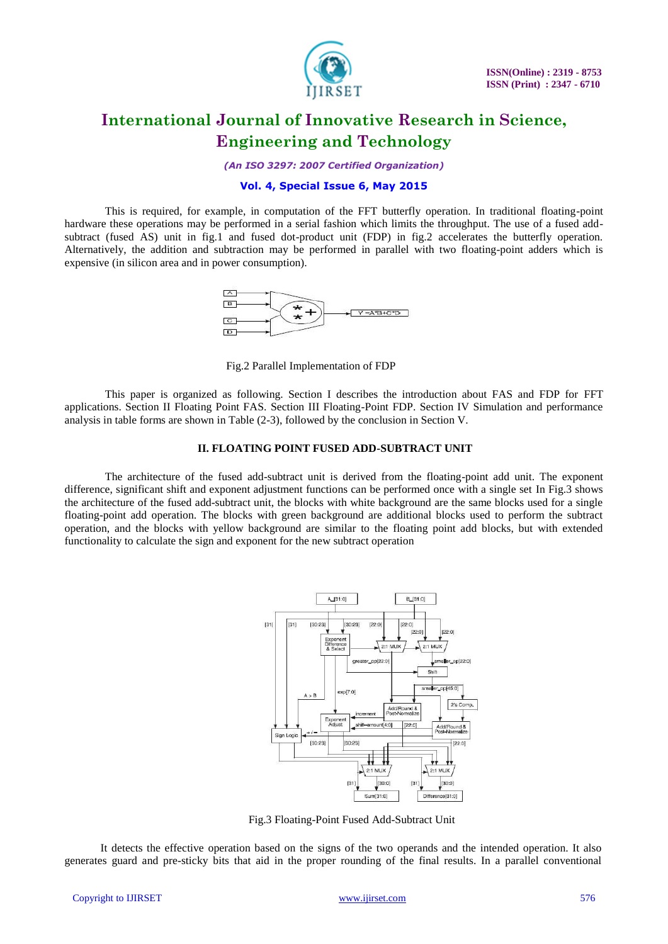

*(An ISO 3297: 2007 Certified Organization)*

#### **Vol. 4, Special Issue 6, May 2015**

This is required, for example, in computation of the FFT butterfly operation. In traditional floating-point hardware these operations may be performed in a serial fashion which limits the throughput. The use of a fused addsubtract (fused AS) unit in fig.1 and fused dot-product unit (FDP) in fig.2 accelerates the butterfly operation. Alternatively, the addition and subtraction may be performed in parallel with two floating-point adders which is expensive (in silicon area and in power consumption).



Fig.2 Parallel Implementation of FDP

This paper is organized as following. Section I describes the introduction about FAS and FDP for FFT applications. Section II Floating Point FAS. Section III Floating-Point FDP. Section IV Simulation and performance analysis in table forms are shown in Table (2-3), followed by the conclusion in Section V.

#### **II. FLOATING POINT FUSED ADD-SUBTRACT UNIT**

The architecture of the fused add-subtract unit is derived from the floating-point add unit. The exponent difference, significant shift and exponent adjustment functions can be performed once with a single set In Fig.3 shows the architecture of the fused add-subtract unit, the blocks with white background are the same blocks used for a single floating-point add operation. The blocks with green background are additional blocks used to perform the subtract operation, and the blocks with yellow background are similar to the floating point add blocks, but with extended functionality to calculate the sign and exponent for the new subtract operation



Fig.3 Floating-Point Fused Add-Subtract Unit

It detects the effective operation based on the signs of the two operands and the intended operation. It also generates guard and pre-sticky bits that aid in the proper rounding of the final results. In a parallel conventional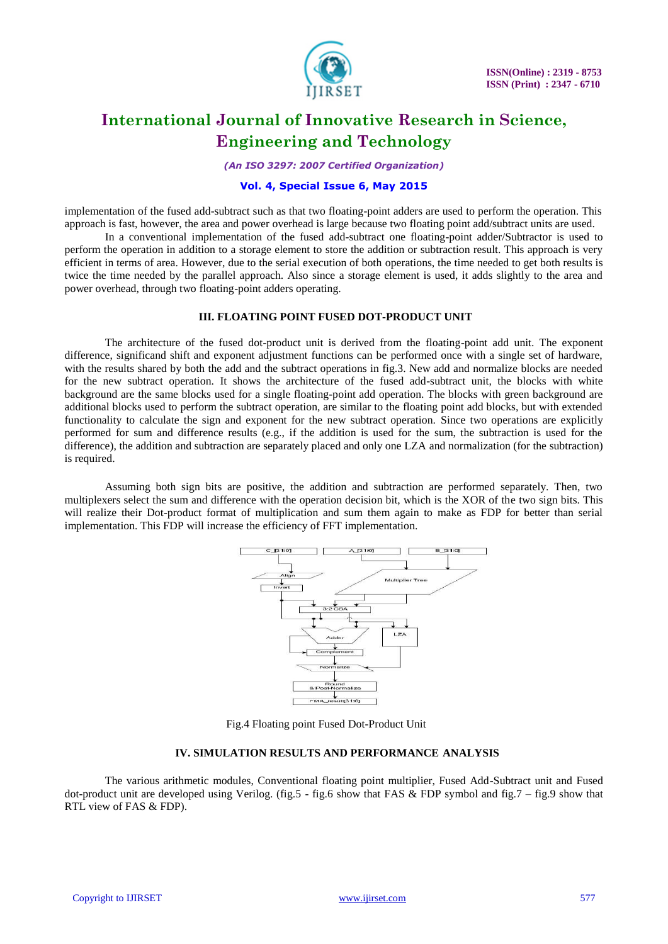

*(An ISO 3297: 2007 Certified Organization)*

#### **Vol. 4, Special Issue 6, May 2015**

implementation of the fused add-subtract such as that two floating-point adders are used to perform the operation. This approach is fast, however, the area and power overhead is large because two floating point add/subtract units are used.

In a conventional implementation of the fused add-subtract one floating-point adder/Subtractor is used to perform the operation in addition to a storage element to store the addition or subtraction result. This approach is very efficient in terms of area. However, due to the serial execution of both operations, the time needed to get both results is twice the time needed by the parallel approach. Also since a storage element is used, it adds slightly to the area and power overhead, through two floating-point adders operating.

#### **III. FLOATING POINT FUSED DOT-PRODUCT UNIT**

The architecture of the fused dot-product unit is derived from the floating-point add unit. The exponent difference, significand shift and exponent adjustment functions can be performed once with a single set of hardware, with the results shared by both the add and the subtract operations in fig.3. New add and normalize blocks are needed for the new subtract operation. It shows the architecture of the fused add-subtract unit, the blocks with white background are the same blocks used for a single floating-point add operation. The blocks with green background are additional blocks used to perform the subtract operation, are similar to the floating point add blocks, but with extended functionality to calculate the sign and exponent for the new subtract operation. Since two operations are explicitly performed for sum and difference results (e.g., if the addition is used for the sum, the subtraction is used for the difference), the addition and subtraction are separately placed and only one LZA and normalization (for the subtraction) is required.

Assuming both sign bits are positive, the addition and subtraction are performed separately. Then, two multiplexers select the sum and difference with the operation decision bit, which is the XOR of the two sign bits. This will realize their Dot-product format of multiplication and sum them again to make as FDP for better than serial implementation. This FDP will increase the efficiency of FFT implementation.



Fig.4 Floating point Fused Dot-Product Unit

#### **IV. SIMULATION RESULTS AND PERFORMANCE ANALYSIS**

The various arithmetic modules, Conventional floating point multiplier, Fused Add-Subtract unit and Fused dot-product unit are developed using Verilog. (fig.5 - fig.6 show that FAS & FDP symbol and fig.7 – fig.9 show that RTL view of FAS & FDP).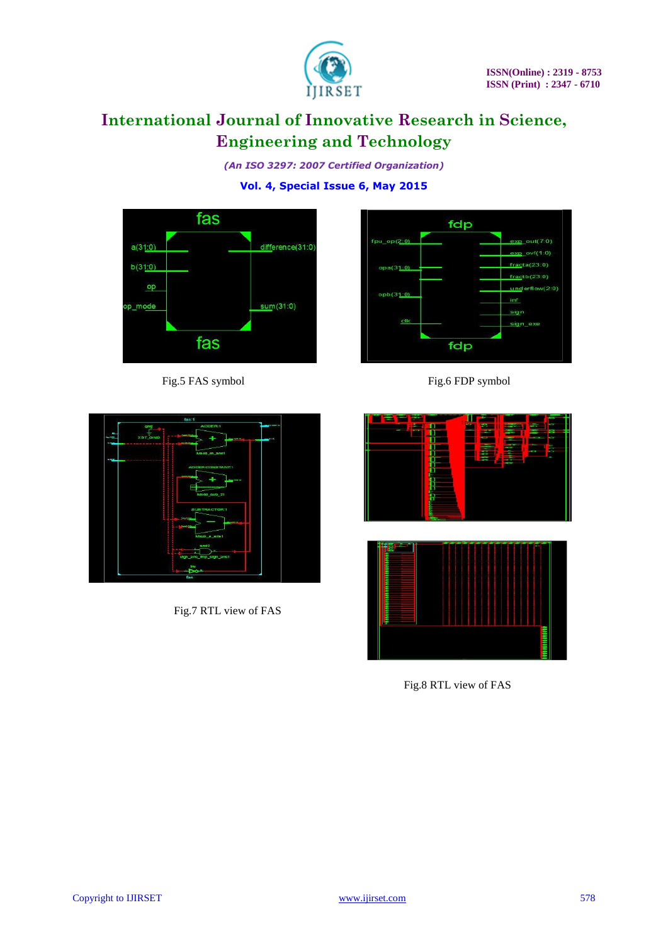

*(An ISO 3297: 2007 Certified Organization)*

**Vol. 4, Special Issue 6, May 2015**



Fig.5 FAS symbol Fig.6 FDP symbol





Fig.7 RTL view of FAS





Fig.8 RTL view of FAS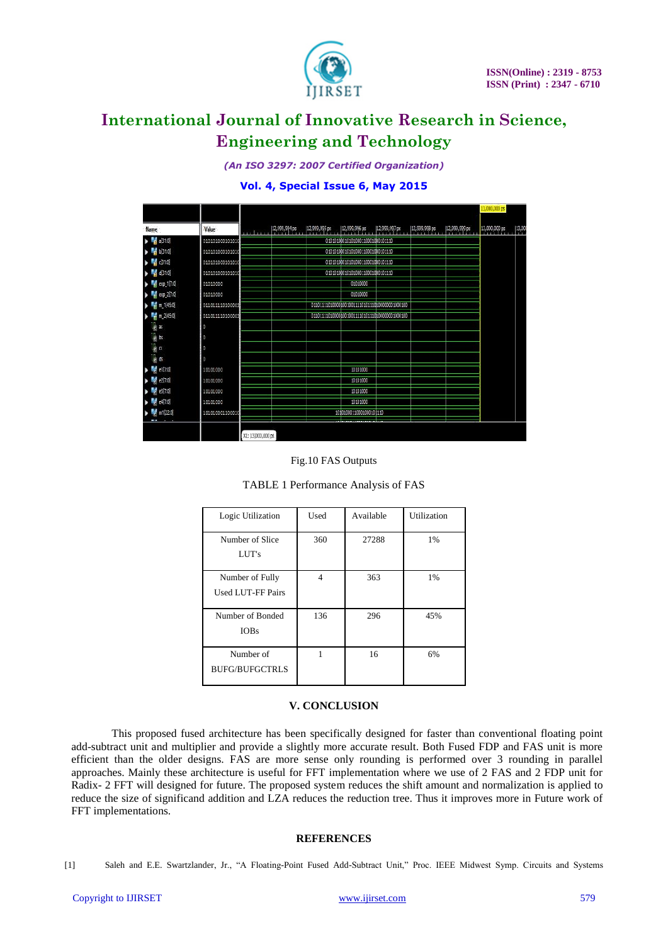

*(An ISO 3297: 2007 Certified Organization)*

#### **Vol. 4, Special Issue 6, May 2015**

|                                              |                 |                                  |               |               |                                  |               |               |               | 13,000,000 ps |                    |
|----------------------------------------------|-----------------|----------------------------------|---------------|---------------|----------------------------------|---------------|---------------|---------------|---------------|--------------------|
| Name                                         | Value           |                                  | 12,999,994 ps | 12,999,995 ps | $ 12,999,996$ ps                 | 12,999,997 ps | 12,999,998 ps | 12,999,999 ps | 13,000,000 ps | $\frac{13,000}{1}$ |
| <b>M</b> a(31:0)<br>×                        | 010101000101010 |                                  |               |               | 01010100010101000110001000101110 |               |               |               |               |                    |
| b310                                         | 010101000101010 |                                  |               |               | 01010100010101000110001000101110 |               |               |               |               |                    |
| $\blacksquare$ $c[31:0]$                     | 010101000101010 | 01010100010101000110001000101110 |               |               |                                  |               |               |               |               |                    |
| $\blacktriangleright$ $\blacksquare$ d[31:0] | 010101000101010 |                                  |               |               | 01010100010101000110001000101110 |               |               |               |               |                    |
| ехр_1(7:0)<br>٠                              | 01010000        |                                  |               |               | 01010000                         |               |               |               |               |                    |
| exp_2[7:0]                                   | 01010000        |                                  |               |               | 01010000                         |               |               |               |               |                    |
| m_1[45:0]<br>٠                               | 011011110100001 |                                  |               |               |                                  |               |               |               |               |                    |
| m 2(45:0)<br>ь                               | 011011110100001 |                                  |               |               |                                  |               |               |               |               |                    |
| lly as                                       | O               |                                  |               |               |                                  |               |               |               |               |                    |
| le bs                                        |                 |                                  |               |               |                                  |               |               |               |               |                    |
| lig as                                       | O               |                                  |               |               |                                  |               |               |               |               |                    |
| lij <sub>e</sub> ds                          | ø               |                                  |               |               |                                  |               |               |               |               |                    |
| <b>RA</b><br>e1[7:0]                         | 10101000        |                                  |               |               | 10101000                         |               |               |               |               |                    |
| e2[7:0]                                      | 10101000        |                                  |               |               | 10101000                         |               |               |               |               |                    |
| e3[7:0]                                      | 10101000        |                                  |               |               | 10101000                         |               |               |               |               |                    |
| e47:0                                        | 10101000        |                                  |               |               | 10101000                         |               |               |               |               |                    |
| m1220<br>$\sim$                              | 101010001100010 |                                  |               |               | 10101000110001000101110          |               |               |               |               |                    |
|                                              |                 | X1: 13,000,000 ps                |               |               |                                  |               |               |               |               |                    |



| Logic Utilization                           | Used           | Available | Utilization |
|---------------------------------------------|----------------|-----------|-------------|
| Number of Slice<br>LUT's                    | 360            | 27288     | 1%          |
| Number of Fully<br><b>Used LUT-FF Pairs</b> | $\overline{4}$ | 363       | 1%          |
| Number of Bonded<br><b>IOBs</b>             | 136            | 296       | 45%         |
| Number of<br><b>BUFG/BUFGCTRLS</b>          |                | 16        | 6%          |

| TABLE 1 Performance Analysis of FAS |  |
|-------------------------------------|--|
|                                     |  |

#### **V. CONCLUSION**

This proposed fused architecture has been specifically designed for faster than conventional floating point add-subtract unit and multiplier and provide a slightly more accurate result. Both Fused FDP and FAS unit is more efficient than the older designs. FAS are more sense only rounding is performed over 3 rounding in parallel approaches. Mainly these architecture is useful for FFT implementation where we use of 2 FAS and 2 FDP unit for Radix- 2 FFT will designed for future. The proposed system reduces the shift amount and normalization is applied to reduce the size of significand addition and LZA reduces the reduction tree. Thus it improves more in Future work of FFT implementations.

#### **REFERENCES**

<sup>[1]</sup> Saleh and E.E. Swartzlander, Jr., "A Floating-Point Fused Add-Subtract Unit," Proc. IEEE Midwest Symp. Circuits and Systems